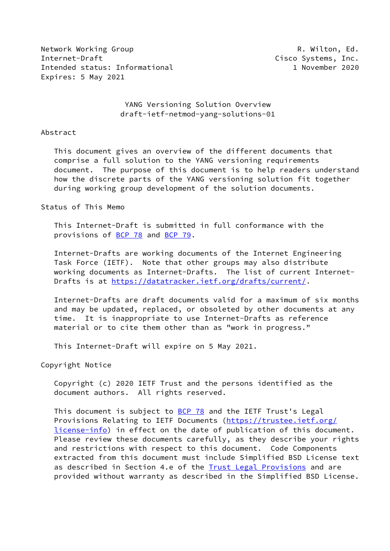Network Working Group **R. Wilton, Ed. R. Wilton, Ed.** Internet-Draft **Contract Cisco Systems, Inc.** Intended status: Informational 1 November 2020 Expires: 5 May 2021

# YANG Versioning Solution Overview draft-ietf-netmod-yang-solutions-01

### Abstract

 This document gives an overview of the different documents that comprise a full solution to the YANG versioning requirements document. The purpose of this document is to help readers understand how the discrete parts of the YANG versioning solution fit together during working group development of the solution documents.

### Status of This Memo

 This Internet-Draft is submitted in full conformance with the provisions of [BCP 78](https://datatracker.ietf.org/doc/pdf/bcp78) and [BCP 79](https://datatracker.ietf.org/doc/pdf/bcp79).

 Internet-Drafts are working documents of the Internet Engineering Task Force (IETF). Note that other groups may also distribute working documents as Internet-Drafts. The list of current Internet- Drafts is at<https://datatracker.ietf.org/drafts/current/>.

 Internet-Drafts are draft documents valid for a maximum of six months and may be updated, replaced, or obsoleted by other documents at any time. It is inappropriate to use Internet-Drafts as reference material or to cite them other than as "work in progress."

This Internet-Draft will expire on 5 May 2021.

Copyright Notice

 Copyright (c) 2020 IETF Trust and the persons identified as the document authors. All rights reserved.

This document is subject to **[BCP 78](https://datatracker.ietf.org/doc/pdf/bcp78)** and the IETF Trust's Legal Provisions Relating to IETF Documents ([https://trustee.ietf.org/](https://trustee.ietf.org/license-info) [license-info](https://trustee.ietf.org/license-info)) in effect on the date of publication of this document. Please review these documents carefully, as they describe your rights and restrictions with respect to this document. Code Components extracted from this document must include Simplified BSD License text as described in Section 4.e of the [Trust Legal Provisions](https://trustee.ietf.org/license-info) and are provided without warranty as described in the Simplified BSD License.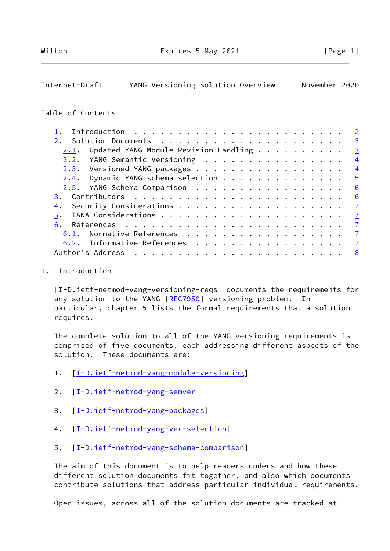# <span id="page-1-1"></span>Internet-Draft YANG Versioning Solution Overview November 2020

# Table of Contents

|      |                                       |  |  |  |  |  | $\overline{2}$          |
|------|---------------------------------------|--|--|--|--|--|-------------------------|
|      |                                       |  |  |  |  |  | $\overline{3}$          |
| 2.1. | Updated YANG Module Revision Handling |  |  |  |  |  | $\overline{\mathbf{3}}$ |
|      | 2.2. YANG Semantic Versioning         |  |  |  |  |  | $\overline{4}$          |
|      | 2.3. Versioned YANG packages          |  |  |  |  |  | $\overline{4}$          |
|      | $2.4$ . Dynamic YANG schema selection |  |  |  |  |  | $\overline{5}$          |
|      | 2.5. YANG Schema Comparison           |  |  |  |  |  | 6                       |
|      |                                       |  |  |  |  |  |                         |
| 4.   |                                       |  |  |  |  |  | $\mathbf{Z}$            |
|      |                                       |  |  |  |  |  |                         |
| 6.   |                                       |  |  |  |  |  |                         |
|      | 6.1. Normative References             |  |  |  |  |  | $\mathbf{Z}$            |
|      | 6.2. Informative References 7         |  |  |  |  |  |                         |
|      |                                       |  |  |  |  |  |                         |

#### <span id="page-1-0"></span>[1](#page-1-0). Introduction

 [I-D.ietf-netmod-yang-versioning-reqs] documents the requirements for any solution to the YANG [\[RFC7950](https://datatracker.ietf.org/doc/pdf/rfc7950)] versioning problem. In particular, chapter 5 lists the formal requirements that a solution requires.

 The complete solution to all of the YANG versioning requirements is comprised of five documents, each addressing different aspects of the solution. These documents are:

- 1. [\[I-D.ietf-netmod-yang-module-versioning](#page-7-6)]
- 2. [\[I-D.ietf-netmod-yang-semver](#page-3-2)]
- 3. [\[I-D.ietf-netmod-yang-packages](#page-8-0)]
- 4.  $[I-D.ietf-netmod-yang-ver-selection]$
- 5. [\[I-D.ietf-netmod-yang-schema-comparison](#page-5-3)]

 The aim of this document is to help readers understand how these different solution documents fit together, and also which documents contribute solutions that address particular individual requirements.

Open issues, across all of the solution documents are tracked at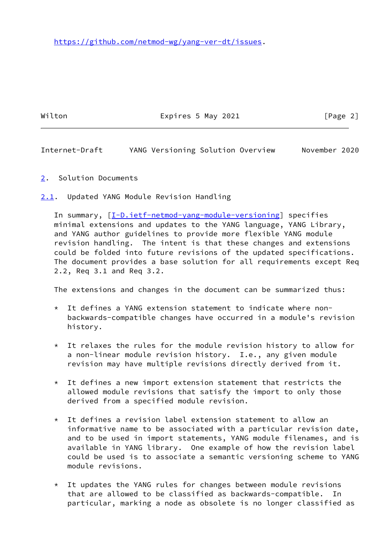Wilton **Expires 5 May 2021** [Page 2]

<span id="page-2-1"></span>Internet-Draft YANG Versioning Solution Overview November 2020

- <span id="page-2-0"></span>[2](#page-2-0). Solution Documents
- <span id="page-2-2"></span>[2.1](#page-2-2). Updated YANG Module Revision Handling

 In summary, [\[I-D.ietf-netmod-yang-module-versioning](#page-7-6)] specifies minimal extensions and updates to the YANG language, YANG Library, and YANG author guidelines to provide more flexible YANG module revision handling. The intent is that these changes and extensions could be folded into future revisions of the updated specifications. The document provides a base solution for all requirements except Req 2.2, Req 3.1 and Req 3.2.

The extensions and changes in the document can be summarized thus:

- \* It defines a YANG extension statement to indicate where non backwards-compatible changes have occurred in a module's revision history.
- \* It relaxes the rules for the module revision history to allow for a non-linear module revision history. I.e., any given module revision may have multiple revisions directly derived from it.
- $*$  It defines a new import extension statement that restricts the allowed module revisions that satisfy the import to only those derived from a specified module revision.
- \* It defines a revision label extension statement to allow an informative name to be associated with a particular revision date, and to be used in import statements, YANG module filenames, and is available in YANG library. One example of how the revision label could be used is to associate a semantic versioning scheme to YANG module revisions.
- \* It updates the YANG rules for changes between module revisions that are allowed to be classified as backwards-compatible. In particular, marking a node as obsolete is no longer classified as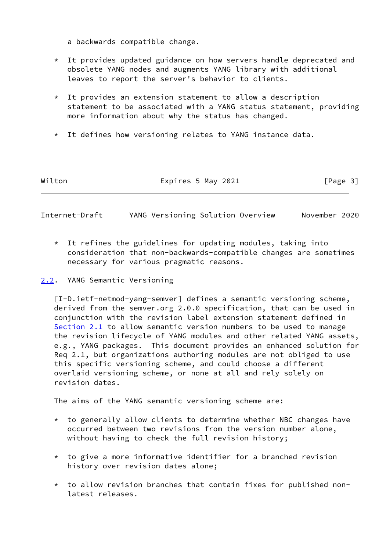a backwards compatible change.

- \* It provides updated guidance on how servers handle deprecated and obsolete YANG nodes and augments YANG library with additional leaves to report the server's behavior to clients.
- $*$  It provides an extension statement to allow a description statement to be associated with a YANG status statement, providing more information about why the status has changed.
- \* It defines how versioning relates to YANG instance data.

| Wilton | Expires 5 May 2021 | [Page 3] |
|--------|--------------------|----------|
|--------|--------------------|----------|

<span id="page-3-1"></span>Internet-Draft YANG Versioning Solution Overview November 2020

- $*$  It refines the guidelines for updating modules, taking into consideration that non-backwards-compatible changes are sometimes necessary for various pragmatic reasons.
- <span id="page-3-0"></span>[2.2](#page-3-0). YANG Semantic Versioning

<span id="page-3-2"></span> [I-D.ietf-netmod-yang-semver] defines a semantic versioning scheme, derived from the semver.org 2.0.0 specification, that can be used in conjunction with the revision label extension statement defined in [Section 2.1](#page-2-2) to allow semantic version numbers to be used to manage the revision lifecycle of YANG modules and other related YANG assets, e.g., YANG packages. This document provides an enhanced solution for Req 2.1, but organizations authoring modules are not obliged to use this specific versioning scheme, and could choose a different overlaid versioning scheme, or none at all and rely solely on revision dates.

The aims of the YANG semantic versioning scheme are:

- \* to generally allow clients to determine whether NBC changes have occurred between two revisions from the version number alone, without having to check the full revision history;
- $*$  to give a more informative identifier for a branched revision history over revision dates alone;
- $*$  to allow revision branches that contain fixes for published nonlatest releases.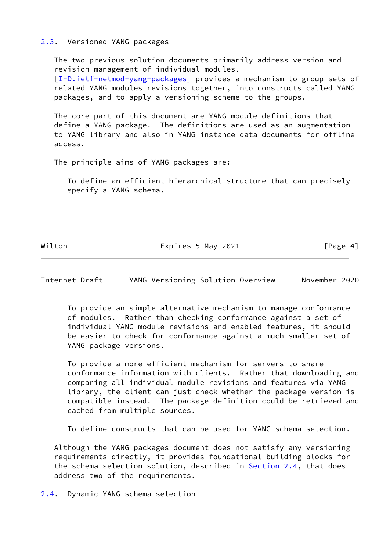## <span id="page-4-0"></span>[2.3](#page-4-0). Versioned YANG packages

 The two previous solution documents primarily address version and revision management of individual modules. [\[I-D.ietf-netmod-yang-packages](#page-8-0)] provides a mechanism to group sets of related YANG modules revisions together, into constructs called YANG packages, and to apply a versioning scheme to the groups.

 The core part of this document are YANG module definitions that define a YANG package. The definitions are used as an augmentation to YANG library and also in YANG instance data documents for offline access.

The principle aims of YANG packages are:

 To define an efficient hierarchical structure that can precisely specify a YANG schema.

Wilton **Expires 5 May 2021** [Page 4]

<span id="page-4-2"></span>Internet-Draft YANG Versioning Solution Overview November 2020

 To provide an simple alternative mechanism to manage conformance of modules. Rather than checking conformance against a set of individual YANG module revisions and enabled features, it should be easier to check for conformance against a much smaller set of YANG package versions.

 To provide a more efficient mechanism for servers to share conformance information with clients. Rather that downloading and comparing all individual module revisions and features via YANG library, the client can just check whether the package version is compatible instead. The package definition could be retrieved and cached from multiple sources.

To define constructs that can be used for YANG schema selection.

 Although the YANG packages document does not satisfy any versioning requirements directly, it provides foundational building blocks for the schema selection solution, described in **Section 2.4**, that does address two of the requirements.

<span id="page-4-1"></span>[2.4](#page-4-1). Dynamic YANG schema selection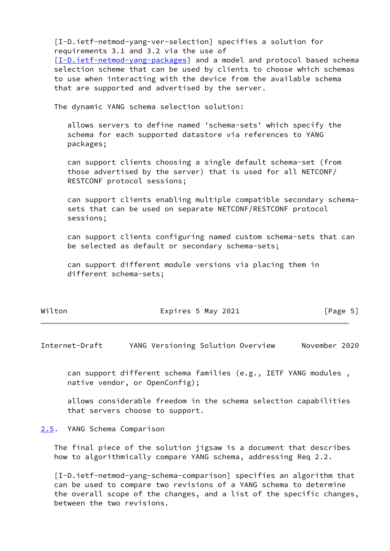<span id="page-5-2"></span> [I-D.ietf-netmod-yang-ver-selection] specifies a solution for requirements 3.1 and 3.2 via the use of

 [\[I-D.ietf-netmod-yang-packages](#page-8-0)] and a model and protocol based schema selection scheme that can be used by clients to choose which schemas to use when interacting with the device from the available schema that are supported and advertised by the server.

The dynamic YANG schema selection solution:

 allows servers to define named 'schema-sets' which specify the schema for each supported datastore via references to YANG packages;

 can support clients choosing a single default schema-set (from those advertised by the server) that is used for all NETCONF/ RESTCONF protocol sessions;

 can support clients enabling multiple compatible secondary schema sets that can be used on separate NETCONF/RESTCONF protocol sessions;

 can support clients configuring named custom schema-sets that can be selected as default or secondary schema-sets;

 can support different module versions via placing them in different schema-sets;

| Wilton | Expires 5 May 2021 | [Page 5] |
|--------|--------------------|----------|
|--------|--------------------|----------|

<span id="page-5-1"></span>Internet-Draft YANG Versioning Solution Overview November 2020

 can support different schema families (e.g., IETF YANG modules , native vendor, or OpenConfig);

 allows considerable freedom in the schema selection capabilities that servers choose to support.

#### <span id="page-5-0"></span>[2.5](#page-5-0). YANG Schema Comparison

 The final piece of the solution jigsaw is a document that describes how to algorithmically compare YANG schema, addressing Req 2.2.

<span id="page-5-3"></span> [I-D.ietf-netmod-yang-schema-comparison] specifies an algorithm that can be used to compare two revisions of a YANG schema to determine the overall scope of the changes, and a list of the specific changes, between the two revisions.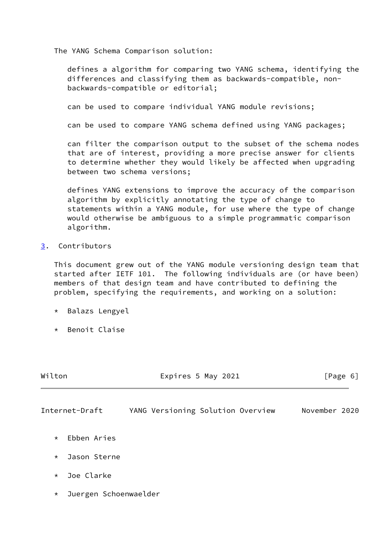The YANG Schema Comparison solution:

 defines a algorithm for comparing two YANG schema, identifying the differences and classifying them as backwards-compatible, non backwards-compatible or editorial;

can be used to compare individual YANG module revisions;

can be used to compare YANG schema defined using YANG packages;

 can filter the comparison output to the subset of the schema nodes that are of interest, providing a more precise answer for clients to determine whether they would likely be affected when upgrading between two schema versions;

 defines YANG extensions to improve the accuracy of the comparison algorithm by explicitly annotating the type of change to statements within a YANG module, for use where the type of change would otherwise be ambiguous to a simple programmatic comparison algorithm.

## <span id="page-6-0"></span>[3](#page-6-0). Contributors

 This document grew out of the YANG module versioning design team that started after IETF 101. The following individuals are (or have been) members of that design team and have contributed to defining the problem, specifying the requirements, and working on a solution:

- \* Balazs Lengyel
- \* Benoit Claise

<span id="page-6-1"></span>

| Wilton                           | Expires 5 May 2021                | [Page 6]      |  |  |  |
|----------------------------------|-----------------------------------|---------------|--|--|--|
| Internet-Draft                   | YANG Versioning Solution Overview | November 2020 |  |  |  |
| Ebben Aries<br>$\star$           |                                   |               |  |  |  |
| Jason Sterne<br>$\star$          |                                   |               |  |  |  |
| Joe Clarke<br>$\star$            |                                   |               |  |  |  |
| Juergen Schoenwaelder<br>$\star$ |                                   |               |  |  |  |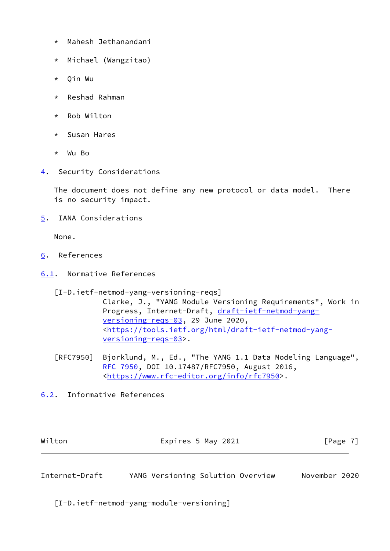- \* Mahesh Jethanandani
- \* Michael (Wangzitao)
- \* Qin Wu
- \* Reshad Rahman
- \* Rob Wilton
- \* Susan Hares
- \* Wu Bo
- <span id="page-7-0"></span>[4](#page-7-0). Security Considerations

 The document does not define any new protocol or data model. There is no security impact.

<span id="page-7-1"></span>[5](#page-7-1). IANA Considerations

None.

- <span id="page-7-2"></span>[6](#page-7-2). References
- <span id="page-7-3"></span>[6.1](#page-7-3). Normative References

[I-D.ietf-netmod-yang-versioning-reqs]

 Clarke, J., "YANG Module Versioning Requirements", Work in Progress, Internet-Draft, [draft-ietf-netmod-yang](https://datatracker.ietf.org/doc/pdf/draft-ietf-netmod-yang-versioning-reqs-03) [versioning-reqs-03,](https://datatracker.ietf.org/doc/pdf/draft-ietf-netmod-yang-versioning-reqs-03) 29 June 2020, <[https://tools.ietf.org/html/draft-ietf-netmod-yang](https://tools.ietf.org/html/draft-ietf-netmod-yang-versioning-reqs-03) [versioning-reqs-03>](https://tools.ietf.org/html/draft-ietf-netmod-yang-versioning-reqs-03).

- [RFC7950] Bjorklund, M., Ed., "The YANG 1.1 Data Modeling Language", [RFC 7950,](https://datatracker.ietf.org/doc/pdf/rfc7950) DOI 10.17487/RFC7950, August 2016, <[https://www.rfc-editor.org/info/rfc7950>](https://www.rfc-editor.org/info/rfc7950).
- <span id="page-7-4"></span>[6.2](#page-7-4). Informative References

<span id="page-7-5"></span>

| Wilton         | Expires 5 May 2021                | [Page 7]      |  |  |  |
|----------------|-----------------------------------|---------------|--|--|--|
|                |                                   |               |  |  |  |
| Internet-Draft | YANG Versioning Solution Overview | November 2020 |  |  |  |

<span id="page-7-6"></span>[I-D.ietf-netmod-yang-module-versioning]